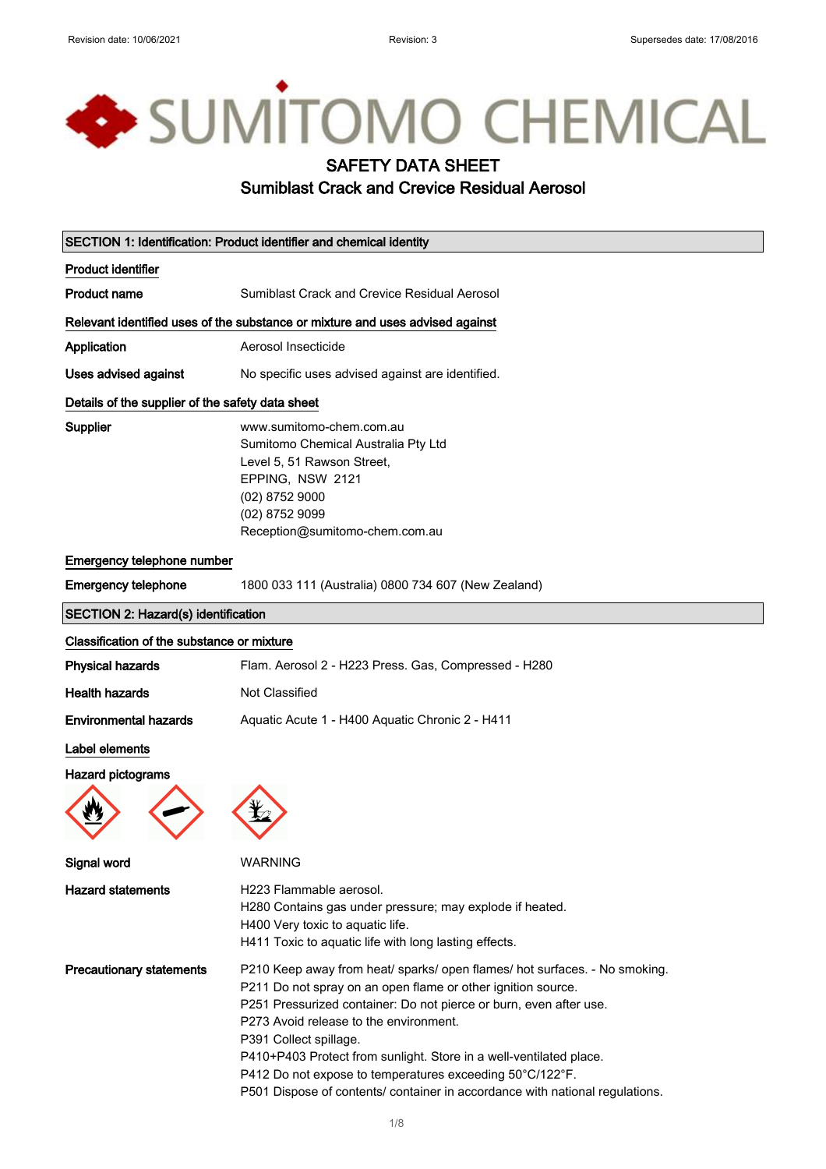# SUMITOMO CHEMICAL SAFETY DATA SHEET Sumiblast Crack and Crevice Residual Aerosol

| SECTION 1: Identification: Product identifier and chemical identity |                                                                                                                                                                                                                                                                                                                                                                                                                                                                                                        |  |
|---------------------------------------------------------------------|--------------------------------------------------------------------------------------------------------------------------------------------------------------------------------------------------------------------------------------------------------------------------------------------------------------------------------------------------------------------------------------------------------------------------------------------------------------------------------------------------------|--|
| <b>Product identifier</b>                                           |                                                                                                                                                                                                                                                                                                                                                                                                                                                                                                        |  |
| <b>Product name</b>                                                 | Sumiblast Crack and Crevice Residual Aerosol                                                                                                                                                                                                                                                                                                                                                                                                                                                           |  |
|                                                                     | Relevant identified uses of the substance or mixture and uses advised against                                                                                                                                                                                                                                                                                                                                                                                                                          |  |
| <b>Application</b>                                                  | Aerosol Insecticide                                                                                                                                                                                                                                                                                                                                                                                                                                                                                    |  |
| <b>Uses advised against</b>                                         | No specific uses advised against are identified.                                                                                                                                                                                                                                                                                                                                                                                                                                                       |  |
| Details of the supplier of the safety data sheet                    |                                                                                                                                                                                                                                                                                                                                                                                                                                                                                                        |  |
| <b>Supplier</b>                                                     | www.sumitomo-chem.com.au<br>Sumitomo Chemical Australia Pty Ltd<br>Level 5, 51 Rawson Street,<br>EPPING, NSW 2121<br>$(02)$ 8752 9000<br>(02) 8752 9099<br>Reception@sumitomo-chem.com.au                                                                                                                                                                                                                                                                                                              |  |
| Emergency telephone number                                          |                                                                                                                                                                                                                                                                                                                                                                                                                                                                                                        |  |
| <b>Emergency telephone</b>                                          | 1800 033 111 (Australia) 0800 734 607 (New Zealand)                                                                                                                                                                                                                                                                                                                                                                                                                                                    |  |
| <b>SECTION 2: Hazard(s) identification</b>                          |                                                                                                                                                                                                                                                                                                                                                                                                                                                                                                        |  |
| Classification of the substance or mixture                          |                                                                                                                                                                                                                                                                                                                                                                                                                                                                                                        |  |
| <b>Physical hazards</b>                                             | Flam. Aerosol 2 - H223 Press. Gas, Compressed - H280                                                                                                                                                                                                                                                                                                                                                                                                                                                   |  |
| <b>Health hazards</b>                                               | Not Classified                                                                                                                                                                                                                                                                                                                                                                                                                                                                                         |  |
| <b>Environmental hazards</b>                                        | Aquatic Acute 1 - H400 Aquatic Chronic 2 - H411                                                                                                                                                                                                                                                                                                                                                                                                                                                        |  |
| Label elements                                                      |                                                                                                                                                                                                                                                                                                                                                                                                                                                                                                        |  |
| <b>Hazard pictograms</b>                                            |                                                                                                                                                                                                                                                                                                                                                                                                                                                                                                        |  |
| Signal word                                                         | WARNING                                                                                                                                                                                                                                                                                                                                                                                                                                                                                                |  |
| <b>Hazard statements</b>                                            | H223 Flammable aerosol.<br>H280 Contains gas under pressure; may explode if heated.<br>H400 Very toxic to aquatic life.<br>H411 Toxic to aquatic life with long lasting effects.                                                                                                                                                                                                                                                                                                                       |  |
| <b>Precautionary statements</b>                                     | P210 Keep away from heat/ sparks/ open flames/ hot surfaces. - No smoking.<br>P211 Do not spray on an open flame or other ignition source.<br>P251 Pressurized container: Do not pierce or burn, even after use.<br>P273 Avoid release to the environment.<br>P391 Collect spillage.<br>P410+P403 Protect from sunlight. Store in a well-ventilated place.<br>P412 Do not expose to temperatures exceeding 50°C/122°F.<br>P501 Dispose of contents/ container in accordance with national regulations. |  |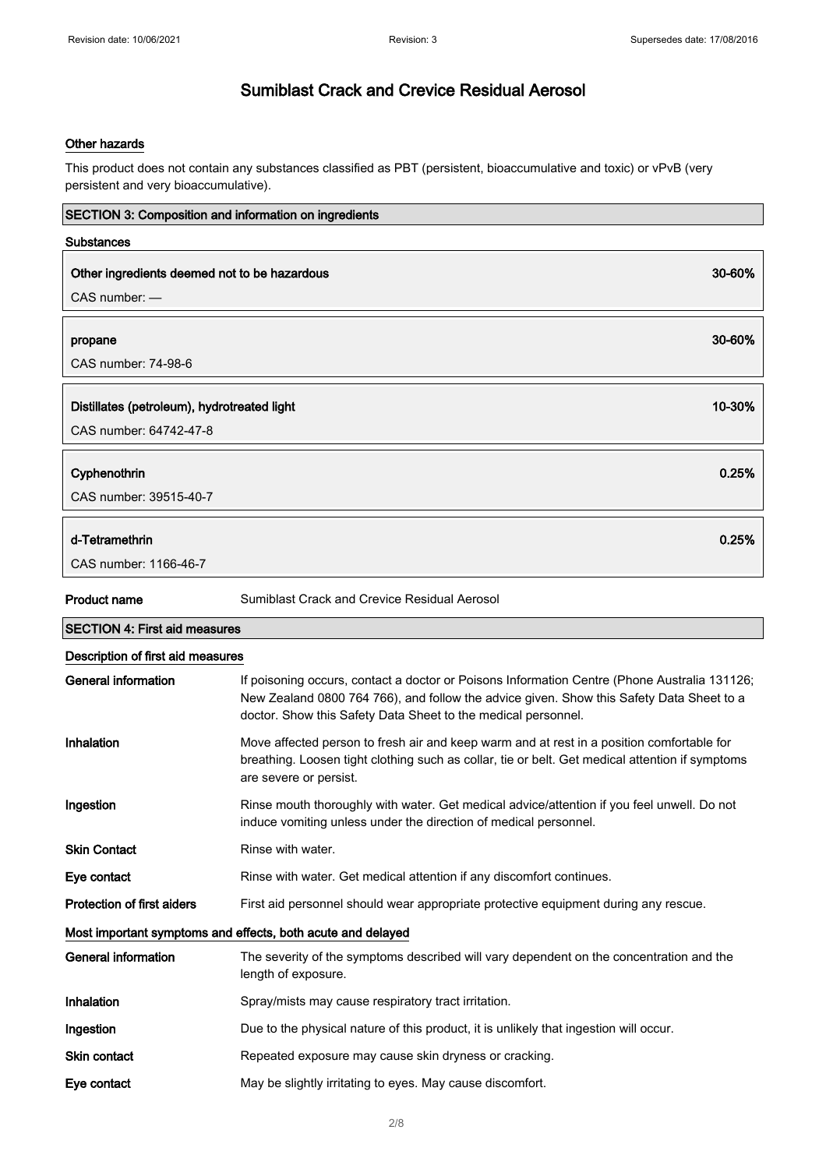### Other hazards

This product does not contain any substances classified as PBT (persistent, bioaccumulative and toxic) or vPvB (very persistent and very bioaccumulative).

| <b>SECTION 3: Composition and information on ingredients</b>            |                                                                                                                                                                                                                                                           |  |
|-------------------------------------------------------------------------|-----------------------------------------------------------------------------------------------------------------------------------------------------------------------------------------------------------------------------------------------------------|--|
| <b>Substances</b>                                                       |                                                                                                                                                                                                                                                           |  |
| Other ingredients deemed not to be hazardous<br>30-60%<br>CAS number: - |                                                                                                                                                                                                                                                           |  |
| propane<br>CAS number: 74-98-6                                          | 30-60%                                                                                                                                                                                                                                                    |  |
| Distillates (petroleum), hydrotreated light<br>CAS number: 64742-47-8   | 10-30%                                                                                                                                                                                                                                                    |  |
| Cyphenothrin<br>CAS number: 39515-40-7                                  | 0.25%                                                                                                                                                                                                                                                     |  |
| d-Tetramethrin<br>CAS number: 1166-46-7                                 | 0.25%                                                                                                                                                                                                                                                     |  |
| Product name                                                            | Sumiblast Crack and Crevice Residual Aerosol                                                                                                                                                                                                              |  |
| <b>SECTION 4: First aid measures</b>                                    |                                                                                                                                                                                                                                                           |  |
| Description of first aid measures                                       |                                                                                                                                                                                                                                                           |  |
| <b>General information</b>                                              | If poisoning occurs, contact a doctor or Poisons Information Centre (Phone Australia 131126;<br>New Zealand 0800 764 766), and follow the advice given. Show this Safety Data Sheet to a<br>doctor. Show this Safety Data Sheet to the medical personnel. |  |
| Inhalation                                                              | Move affected person to fresh air and keep warm and at rest in a position comfortable for<br>breathing. Loosen tight clothing such as collar, tie or belt. Get medical attention if symptoms<br>are severe or persist.                                    |  |
| Ingestion                                                               | Rinse mouth thoroughly with water. Get medical advice/attention if you feel unwell. Do not<br>induce vomiting unless under the direction of medical personnel.                                                                                            |  |
| <b>Skin Contact</b>                                                     | Rinse with water.                                                                                                                                                                                                                                         |  |
| Eye contact                                                             | Rinse with water. Get medical attention if any discomfort continues.                                                                                                                                                                                      |  |
| Protection of first aiders                                              | First aid personnel should wear appropriate protective equipment during any rescue.                                                                                                                                                                       |  |
| Most important symptoms and effects, both acute and delayed             |                                                                                                                                                                                                                                                           |  |
| <b>General information</b>                                              | The severity of the symptoms described will vary dependent on the concentration and the<br>length of exposure.                                                                                                                                            |  |
| Inhalation                                                              | Spray/mists may cause respiratory tract irritation.                                                                                                                                                                                                       |  |
| Ingestion                                                               | Due to the physical nature of this product, it is unlikely that ingestion will occur.                                                                                                                                                                     |  |
| Skin contact                                                            | Repeated exposure may cause skin dryness or cracking.                                                                                                                                                                                                     |  |
| Eye contact                                                             | May be slightly irritating to eyes. May cause discomfort.                                                                                                                                                                                                 |  |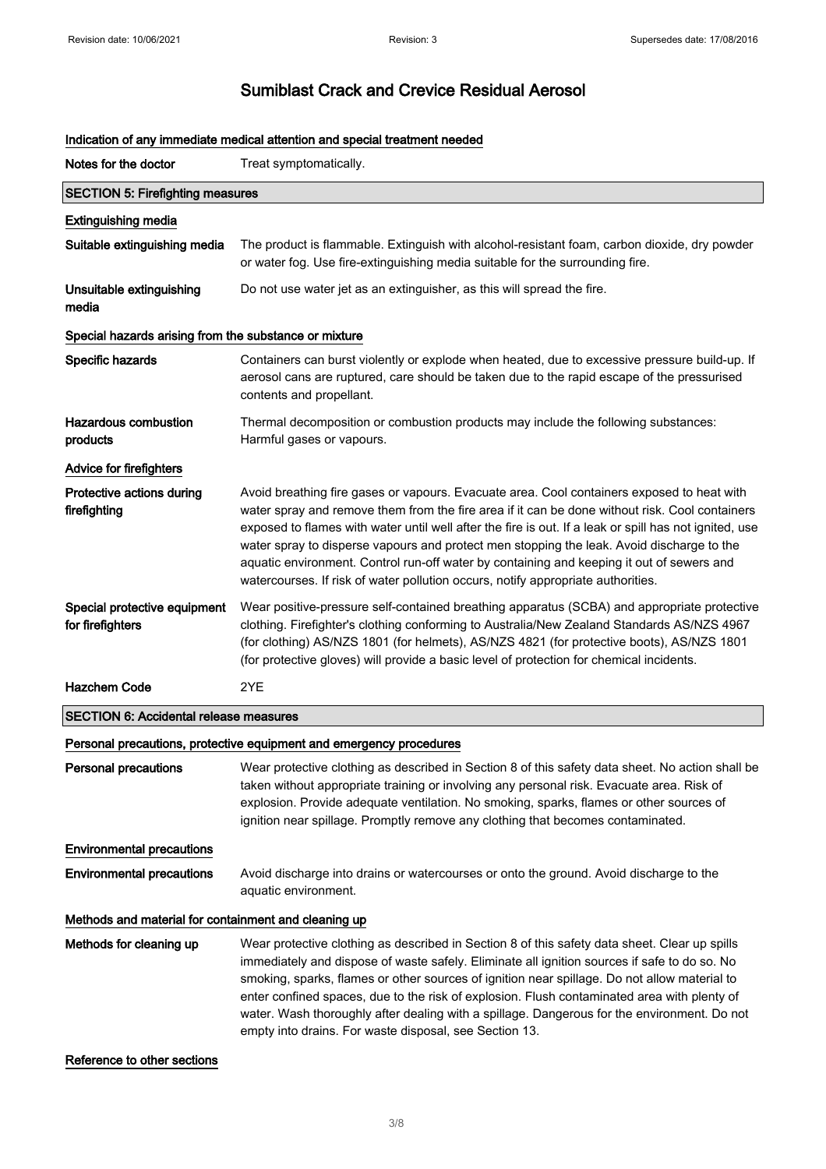| Notes for the doctor                                  | Treat symptomatically.                                                                                                                                                                                                                                                                                                                                                                                                                                                                                                                                                               |  |
|-------------------------------------------------------|--------------------------------------------------------------------------------------------------------------------------------------------------------------------------------------------------------------------------------------------------------------------------------------------------------------------------------------------------------------------------------------------------------------------------------------------------------------------------------------------------------------------------------------------------------------------------------------|--|
| <b>SECTION 5: Firefighting measures</b>               |                                                                                                                                                                                                                                                                                                                                                                                                                                                                                                                                                                                      |  |
| <b>Extinguishing media</b>                            |                                                                                                                                                                                                                                                                                                                                                                                                                                                                                                                                                                                      |  |
| Suitable extinguishing media                          | The product is flammable. Extinguish with alcohol-resistant foam, carbon dioxide, dry powder<br>or water fog. Use fire-extinguishing media suitable for the surrounding fire.                                                                                                                                                                                                                                                                                                                                                                                                        |  |
| Unsuitable extinguishing<br>media                     | Do not use water jet as an extinguisher, as this will spread the fire.                                                                                                                                                                                                                                                                                                                                                                                                                                                                                                               |  |
| Special hazards arising from the substance or mixture |                                                                                                                                                                                                                                                                                                                                                                                                                                                                                                                                                                                      |  |
| Specific hazards                                      | Containers can burst violently or explode when heated, due to excessive pressure build-up. If<br>aerosol cans are ruptured, care should be taken due to the rapid escape of the pressurised<br>contents and propellant.                                                                                                                                                                                                                                                                                                                                                              |  |
| Hazardous combustion<br>products                      | Thermal decomposition or combustion products may include the following substances:<br>Harmful gases or vapours.                                                                                                                                                                                                                                                                                                                                                                                                                                                                      |  |
| <b>Advice for firefighters</b>                        |                                                                                                                                                                                                                                                                                                                                                                                                                                                                                                                                                                                      |  |
| Protective actions during<br>firefighting             | Avoid breathing fire gases or vapours. Evacuate area. Cool containers exposed to heat with<br>water spray and remove them from the fire area if it can be done without risk. Cool containers<br>exposed to flames with water until well after the fire is out. If a leak or spill has not ignited, use<br>water spray to disperse vapours and protect men stopping the leak. Avoid discharge to the<br>aquatic environment. Control run-off water by containing and keeping it out of sewers and<br>watercourses. If risk of water pollution occurs, notify appropriate authorities. |  |
| Special protective equipment<br>for firefighters      | Wear positive-pressure self-contained breathing apparatus (SCBA) and appropriate protective<br>clothing. Firefighter's clothing conforming to Australia/New Zealand Standards AS/NZS 4967<br>(for clothing) AS/NZS 1801 (for helmets), AS/NZS 4821 (for protective boots), AS/NZS 1801<br>(for protective gloves) will provide a basic level of protection for chemical incidents.                                                                                                                                                                                                   |  |
| <b>Hazchem Code</b>                                   | 2YE                                                                                                                                                                                                                                                                                                                                                                                                                                                                                                                                                                                  |  |
| <b>SECTION 6: Accidental release measures</b>         |                                                                                                                                                                                                                                                                                                                                                                                                                                                                                                                                                                                      |  |
|                                                       | Personal precautions, protective equipment and emergency procedures                                                                                                                                                                                                                                                                                                                                                                                                                                                                                                                  |  |
| Personal precautions                                  | Wear protective clothing as described in Section 8 of this safety data sheet. No action shall be<br>taken without appropriate training or involving any personal risk. Evacuate area. Risk of<br>explosion. Provide adequate ventilation. No smoking, sparks, flames or other sources of<br>ignition near spillage. Promptly remove any clothing that becomes contaminated.                                                                                                                                                                                                          |  |
| <b>Environmental precautions</b>                      |                                                                                                                                                                                                                                                                                                                                                                                                                                                                                                                                                                                      |  |
| <b>Environmental precautions</b>                      | Avoid discharge into drains or watercourses or onto the ground. Avoid discharge to the<br>aquatic environment.                                                                                                                                                                                                                                                                                                                                                                                                                                                                       |  |
| Methods and material for containment and cleaning up  |                                                                                                                                                                                                                                                                                                                                                                                                                                                                                                                                                                                      |  |
| Methods for cleaning up                               | Wear protective clothing as described in Section 8 of this safety data sheet. Clear up spills<br>immediately and dispose of waste safely. Eliminate all ignition sources if safe to do so. No<br>smoking, sparks, flames or other sources of ignition near spillage. Do not allow material to<br>enter confined spaces, due to the risk of explosion. Flush contaminated area with plenty of<br>water. Wash thoroughly after dealing with a spillage. Dangerous for the environment. Do not<br>empty into drains. For waste disposal, see Section 13.                                |  |

### Indication of any immediate medical attention and special treatment needed

Reference to other sections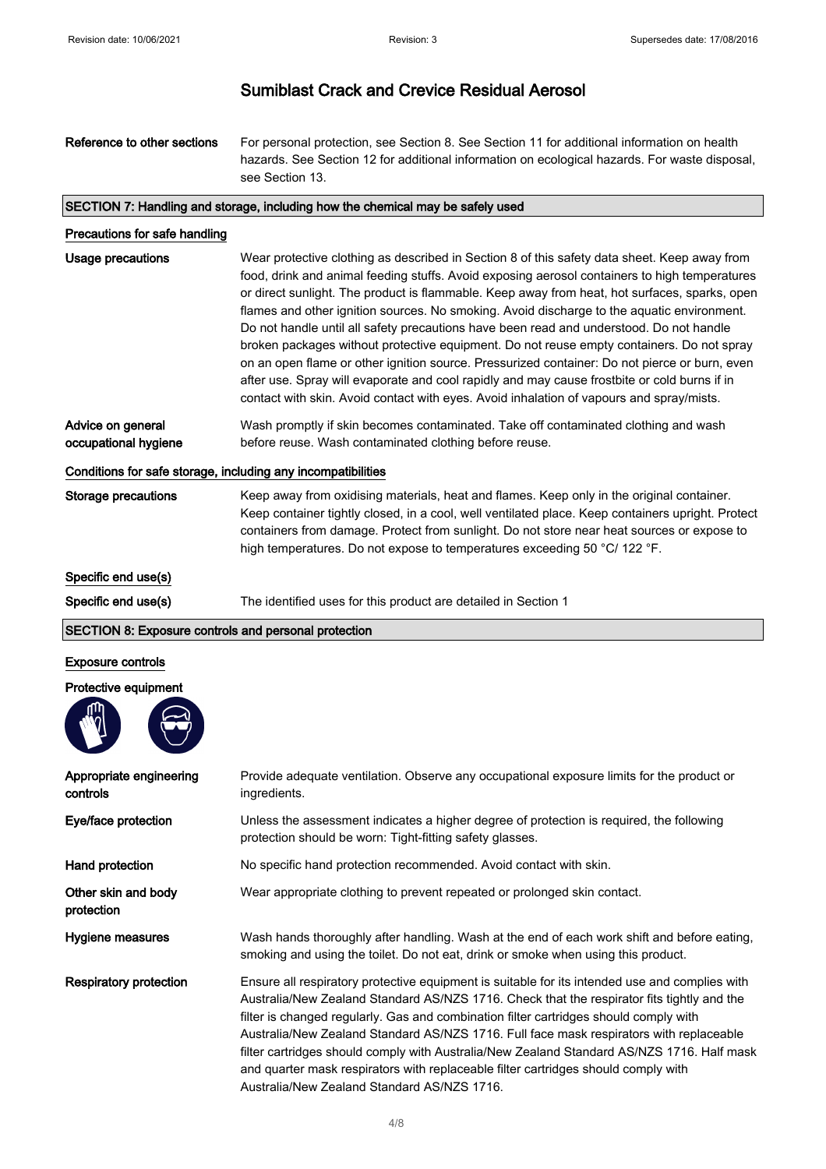| Reference to other sections | For personal protection, see Section 8. See Section 11 for additional information on health   |  |
|-----------------------------|-----------------------------------------------------------------------------------------------|--|
|                             | hazards. See Section 12 for additional information on ecological hazards. For waste disposal, |  |
|                             | see Section 13.                                                                               |  |

#### SECTION 7: Handling and storage, including how the chemical may be safely used

| Precautions for safe handling |  |
|-------------------------------|--|
|-------------------------------|--|

| Usage precautions    | Wear protective clothing as described in Section 8 of this safety data sheet. Keep away from  |
|----------------------|-----------------------------------------------------------------------------------------------|
|                      | food, drink and animal feeding stuffs. Avoid exposing aerosol containers to high temperatures |
|                      | or direct sunlight. The product is flammable. Keep away from heat, hot surfaces, sparks, open |
|                      | flames and other ignition sources. No smoking. Avoid discharge to the aquatic environment.    |
|                      | Do not handle until all safety precautions have been read and understood. Do not handle       |
|                      | broken packages without protective equipment. Do not reuse empty containers. Do not spray     |
|                      | on an open flame or other ignition source. Pressurized container: Do not pierce or burn, even |
|                      | after use. Spray will evaporate and cool rapidly and may cause frostbite or cold burns if in  |
|                      | contact with skin. Avoid contact with eyes. Avoid inhalation of vapours and spray/mists.      |
| Advice on general    | Wash promptly if skin becomes contaminated. Take off contaminated clothing and wash           |
| occupational hygiene | before reuse. Wash contaminated clothing before reuse.                                        |

#### Conditions for safe storage, including any incompatibilities

Storage precautions Keep away from oxidising materials, heat and flames. Keep only in the original container. Keep container tightly closed, in a cool, well ventilated place. Keep containers upright. Protect containers from damage. Protect from sunlight. Do not store near heat sources or expose to high temperatures. Do not expose to temperatures exceeding 50 °C/ 122 °F.

Specific end use(s)

Specific end use(s) The identified uses for this product are detailed in Section 1

#### SECTION 8: Exposure controls and personal protection

#### Exposure controls

Protective equipment



| Appropriate engineering<br>controls | Provide adequate ventilation. Observe any occupational exposure limits for the product or<br>ingredients.                                                                                                                                                                                                                                                                                                                                                                                                                                                                                                           |
|-------------------------------------|---------------------------------------------------------------------------------------------------------------------------------------------------------------------------------------------------------------------------------------------------------------------------------------------------------------------------------------------------------------------------------------------------------------------------------------------------------------------------------------------------------------------------------------------------------------------------------------------------------------------|
| Eye/face protection                 | Unless the assessment indicates a higher degree of protection is required, the following<br>protection should be worn: Tight-fitting safety glasses.                                                                                                                                                                                                                                                                                                                                                                                                                                                                |
| Hand protection                     | No specific hand protection recommended. Avoid contact with skin.                                                                                                                                                                                                                                                                                                                                                                                                                                                                                                                                                   |
| Other skin and body<br>protection   | Wear appropriate clothing to prevent repeated or prolonged skin contact.                                                                                                                                                                                                                                                                                                                                                                                                                                                                                                                                            |
| Hygiene measures                    | Wash hands thoroughly after handling. Wash at the end of each work shift and before eating,<br>smoking and using the toilet. Do not eat, drink or smoke when using this product.                                                                                                                                                                                                                                                                                                                                                                                                                                    |
| Respiratory protection              | Ensure all respiratory protective equipment is suitable for its intended use and complies with<br>Australia/New Zealand Standard AS/NZS 1716. Check that the respirator fits tightly and the<br>filter is changed regularly. Gas and combination filter cartridges should comply with<br>Australia/New Zealand Standard AS/NZS 1716. Full face mask respirators with replaceable<br>filter cartridges should comply with Australia/New Zealand Standard AS/NZS 1716. Half mask<br>and quarter mask respirators with replaceable filter cartridges should comply with<br>Australia/New Zealand Standard AS/NZS 1716. |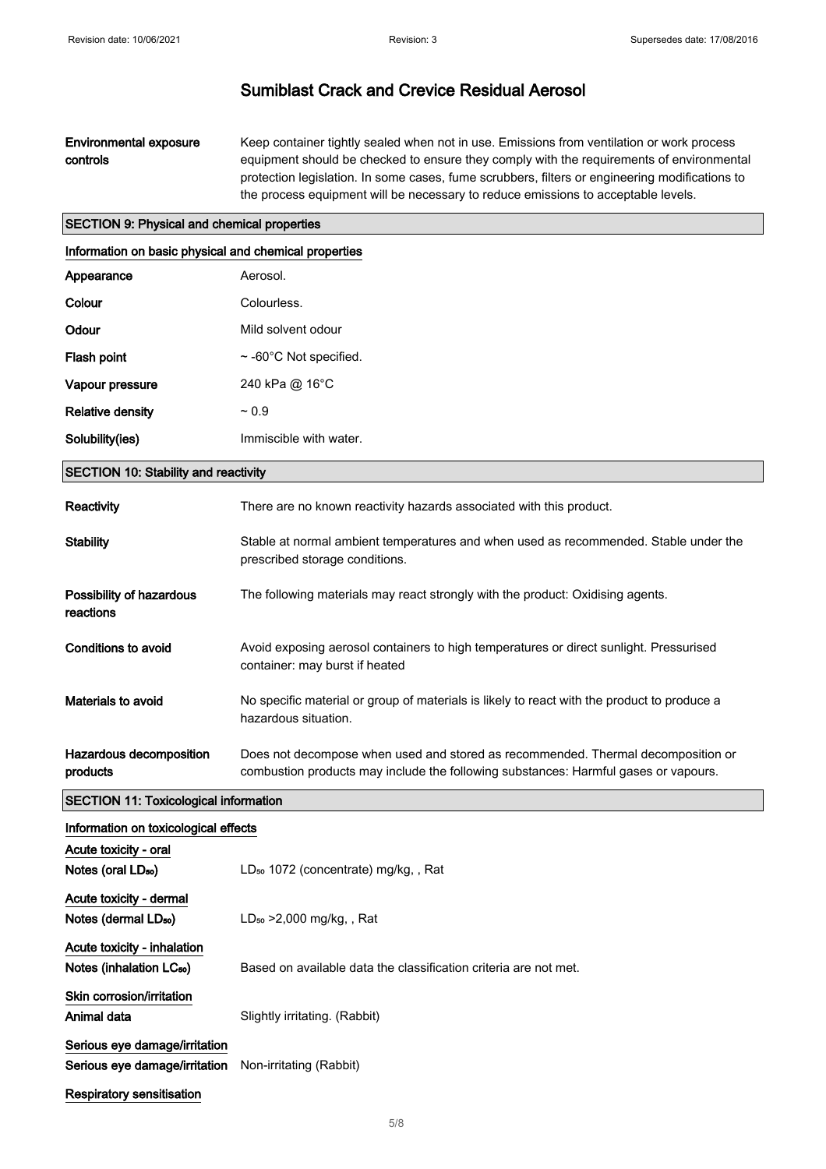### Environmental exposure controls

Keep container tightly sealed when not in use. Emissions from ventilation or work process equipment should be checked to ensure they comply with the requirements of environmental protection legislation. In some cases, fume scrubbers, filters or engineering modifications to the process equipment will be necessary to reduce emissions to acceptable levels.

### SECTION 9: Physical and chemical properties

| Information on basic physical and chemical properties          |                                                                                                                                                                         |
|----------------------------------------------------------------|-------------------------------------------------------------------------------------------------------------------------------------------------------------------------|
| Appearance                                                     | Aerosol.                                                                                                                                                                |
| Colour                                                         | Colourless.                                                                                                                                                             |
| Odour                                                          | Mild solvent odour                                                                                                                                                      |
| Flash point                                                    | $\sim$ -60°C Not specified.                                                                                                                                             |
| Vapour pressure                                                | 240 kPa @ 16°C                                                                                                                                                          |
| <b>Relative density</b>                                        | $~1$ 0.9                                                                                                                                                                |
| Solubility(ies)                                                | Immiscible with water.                                                                                                                                                  |
| <b>SECTION 10: Stability and reactivity</b>                    |                                                                                                                                                                         |
| Reactivity                                                     | There are no known reactivity hazards associated with this product.                                                                                                     |
| <b>Stability</b>                                               | Stable at normal ambient temperatures and when used as recommended. Stable under the<br>prescribed storage conditions.                                                  |
| Possibility of hazardous<br>reactions                          | The following materials may react strongly with the product: Oxidising agents.                                                                                          |
| Conditions to avoid                                            | Avoid exposing aerosol containers to high temperatures or direct sunlight. Pressurised<br>container: may burst if heated                                                |
| Materials to avoid                                             | No specific material or group of materials is likely to react with the product to produce a<br>hazardous situation.                                                     |
| Hazardous decomposition<br>products                            | Does not decompose when used and stored as recommended. Thermal decomposition or<br>combustion products may include the following substances: Harmful gases or vapours. |
| <b>SECTION 11: Toxicological information</b>                   |                                                                                                                                                                         |
| Information on toxicological effects                           |                                                                                                                                                                         |
| Acute toxicity - oral<br>Notes (oral LD <sub>50</sub> )        | LD <sub>50</sub> 1072 (concentrate) mg/kg,, Rat                                                                                                                         |
| Acute toxicity - dermal<br>Notes (dermal LD <sub>50</sub> )    | $LD_{50} > 2,000$ mg/kg, , Rat                                                                                                                                          |
| Acute toxicity - inhalation                                    |                                                                                                                                                                         |
| Notes (inhalation LC <sub>50</sub> )                           | Based on available data the classification criteria are not met.                                                                                                        |
| Skin corrosion/irritation<br>Animal data                       | Slightly irritating. (Rabbit)                                                                                                                                           |
| Serious eye damage/irritation<br>Serious eye damage/irritation | Non-irritating (Rabbit)                                                                                                                                                 |
| Respiratory sensitisation                                      |                                                                                                                                                                         |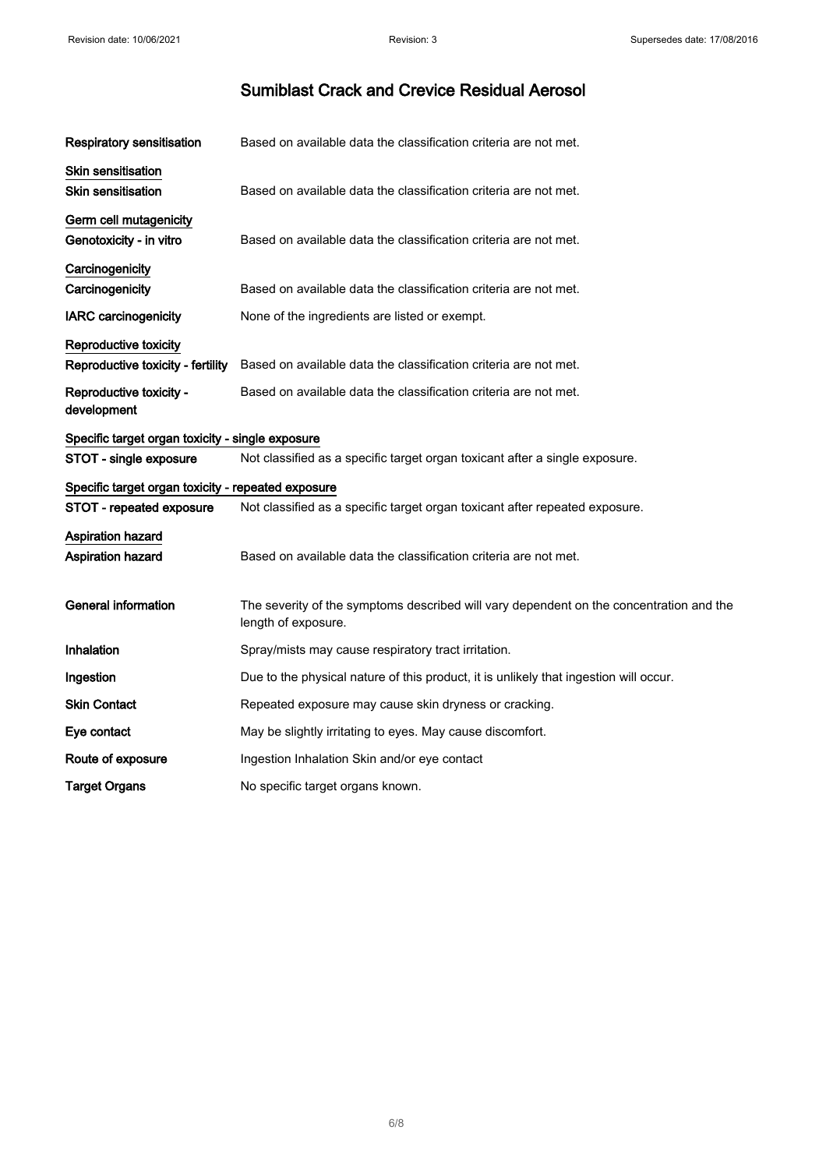| Respiratory sensitisation                                  | Based on available data the classification criteria are not met.                                               |
|------------------------------------------------------------|----------------------------------------------------------------------------------------------------------------|
| Skin sensitisation<br><b>Skin sensitisation</b>            | Based on available data the classification criteria are not met.                                               |
| Germ cell mutagenicity<br>Genotoxicity - in vitro          | Based on available data the classification criteria are not met.                                               |
| Carcinogenicity<br>Carcinogenicity                         | Based on available data the classification criteria are not met.                                               |
| <b>IARC</b> carcinogenicity                                | None of the ingredients are listed or exempt.                                                                  |
| Reproductive toxicity<br>Reproductive toxicity - fertility | Based on available data the classification criteria are not met.                                               |
| Reproductive toxicity -<br>development                     | Based on available data the classification criteria are not met.                                               |
| Specific target organ toxicity - single exposure           |                                                                                                                |
| STOT - single exposure                                     | Not classified as a specific target organ toxicant after a single exposure.                                    |
| Specific target organ toxicity - repeated exposure         |                                                                                                                |
| STOT - repeated exposure                                   | Not classified as a specific target organ toxicant after repeated exposure.                                    |
| Aspiration hazard<br>Aspiration hazard                     | Based on available data the classification criteria are not met.                                               |
| <b>General information</b>                                 | The severity of the symptoms described will vary dependent on the concentration and the<br>length of exposure. |
| Inhalation                                                 | Spray/mists may cause respiratory tract irritation.                                                            |
| Ingestion                                                  | Due to the physical nature of this product, it is unlikely that ingestion will occur.                          |
| <b>Skin Contact</b>                                        | Repeated exposure may cause skin dryness or cracking.                                                          |
| Eye contact                                                | May be slightly irritating to eyes. May cause discomfort.                                                      |
| Route of exposure                                          | Ingestion Inhalation Skin and/or eye contact                                                                   |
| <b>Target Organs</b>                                       | No specific target organs known.                                                                               |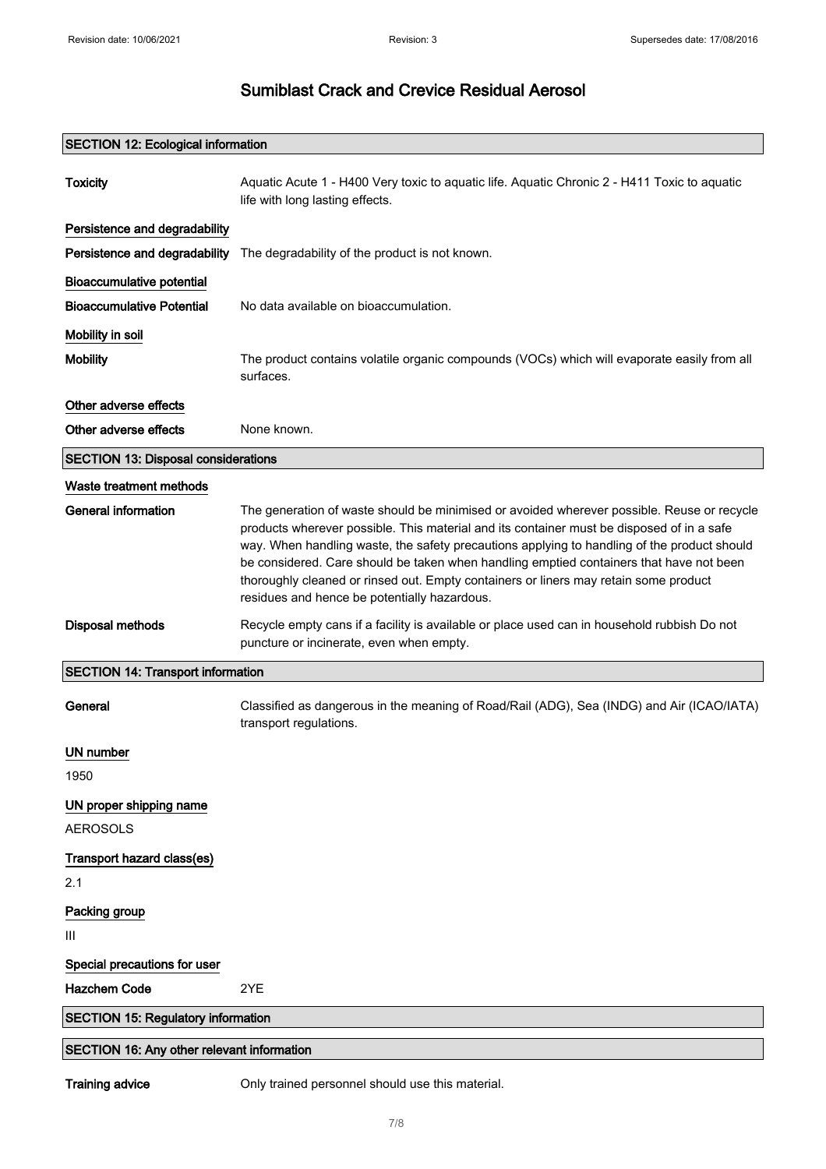### SECTION 12: Ecological information

| <b>Toxicity</b>                                   | Aquatic Acute 1 - H400 Very toxic to aquatic life. Aquatic Chronic 2 - H411 Toxic to aquatic<br>life with long lasting effects.                                                                                                                                                                                                                                                                                                                                                                                           |
|---------------------------------------------------|---------------------------------------------------------------------------------------------------------------------------------------------------------------------------------------------------------------------------------------------------------------------------------------------------------------------------------------------------------------------------------------------------------------------------------------------------------------------------------------------------------------------------|
| Persistence and degradability                     |                                                                                                                                                                                                                                                                                                                                                                                                                                                                                                                           |
| Persistence and degradability                     | The degradability of the product is not known.                                                                                                                                                                                                                                                                                                                                                                                                                                                                            |
| <b>Bioaccumulative potential</b>                  |                                                                                                                                                                                                                                                                                                                                                                                                                                                                                                                           |
| <b>Bioaccumulative Potential</b>                  | No data available on bioaccumulation.                                                                                                                                                                                                                                                                                                                                                                                                                                                                                     |
| Mobility in soil                                  |                                                                                                                                                                                                                                                                                                                                                                                                                                                                                                                           |
| <b>Mobility</b>                                   | The product contains volatile organic compounds (VOCs) which will evaporate easily from all<br>surfaces.                                                                                                                                                                                                                                                                                                                                                                                                                  |
| Other adverse effects                             |                                                                                                                                                                                                                                                                                                                                                                                                                                                                                                                           |
| Other adverse effects                             | None known.                                                                                                                                                                                                                                                                                                                                                                                                                                                                                                               |
| <b>SECTION 13: Disposal considerations</b>        |                                                                                                                                                                                                                                                                                                                                                                                                                                                                                                                           |
| Waste treatment methods                           |                                                                                                                                                                                                                                                                                                                                                                                                                                                                                                                           |
| <b>General information</b>                        | The generation of waste should be minimised or avoided wherever possible. Reuse or recycle<br>products wherever possible. This material and its container must be disposed of in a safe<br>way. When handling waste, the safety precautions applying to handling of the product should<br>be considered. Care should be taken when handling emptied containers that have not been<br>thoroughly cleaned or rinsed out. Empty containers or liners may retain some product<br>residues and hence be potentially hazardous. |
| <b>Disposal methods</b>                           | Recycle empty cans if a facility is available or place used can in household rubbish Do not<br>puncture or incinerate, even when empty.                                                                                                                                                                                                                                                                                                                                                                                   |
| <b>SECTION 14: Transport information</b>          |                                                                                                                                                                                                                                                                                                                                                                                                                                                                                                                           |
| General                                           | Classified as dangerous in the meaning of Road/Rail (ADG), Sea (INDG) and Air (ICAO/IATA)<br>transport regulations.                                                                                                                                                                                                                                                                                                                                                                                                       |
| UN number                                         |                                                                                                                                                                                                                                                                                                                                                                                                                                                                                                                           |
| 1950                                              |                                                                                                                                                                                                                                                                                                                                                                                                                                                                                                                           |
| UN proper shipping name                           |                                                                                                                                                                                                                                                                                                                                                                                                                                                                                                                           |
| <b>AEROSOLS</b>                                   |                                                                                                                                                                                                                                                                                                                                                                                                                                                                                                                           |
| Transport hazard class(es)                        |                                                                                                                                                                                                                                                                                                                                                                                                                                                                                                                           |
| 2.1                                               |                                                                                                                                                                                                                                                                                                                                                                                                                                                                                                                           |
| Packing group                                     |                                                                                                                                                                                                                                                                                                                                                                                                                                                                                                                           |
| Ш                                                 |                                                                                                                                                                                                                                                                                                                                                                                                                                                                                                                           |
| Special precautions for user                      |                                                                                                                                                                                                                                                                                                                                                                                                                                                                                                                           |
| <b>Hazchem Code</b>                               | 2YE                                                                                                                                                                                                                                                                                                                                                                                                                                                                                                                       |
| <b>SECTION 15: Regulatory information</b>         |                                                                                                                                                                                                                                                                                                                                                                                                                                                                                                                           |
| <b>SECTION 16: Any other relevant information</b> |                                                                                                                                                                                                                                                                                                                                                                                                                                                                                                                           |

Training advice **Only trained personnel should use this material.**